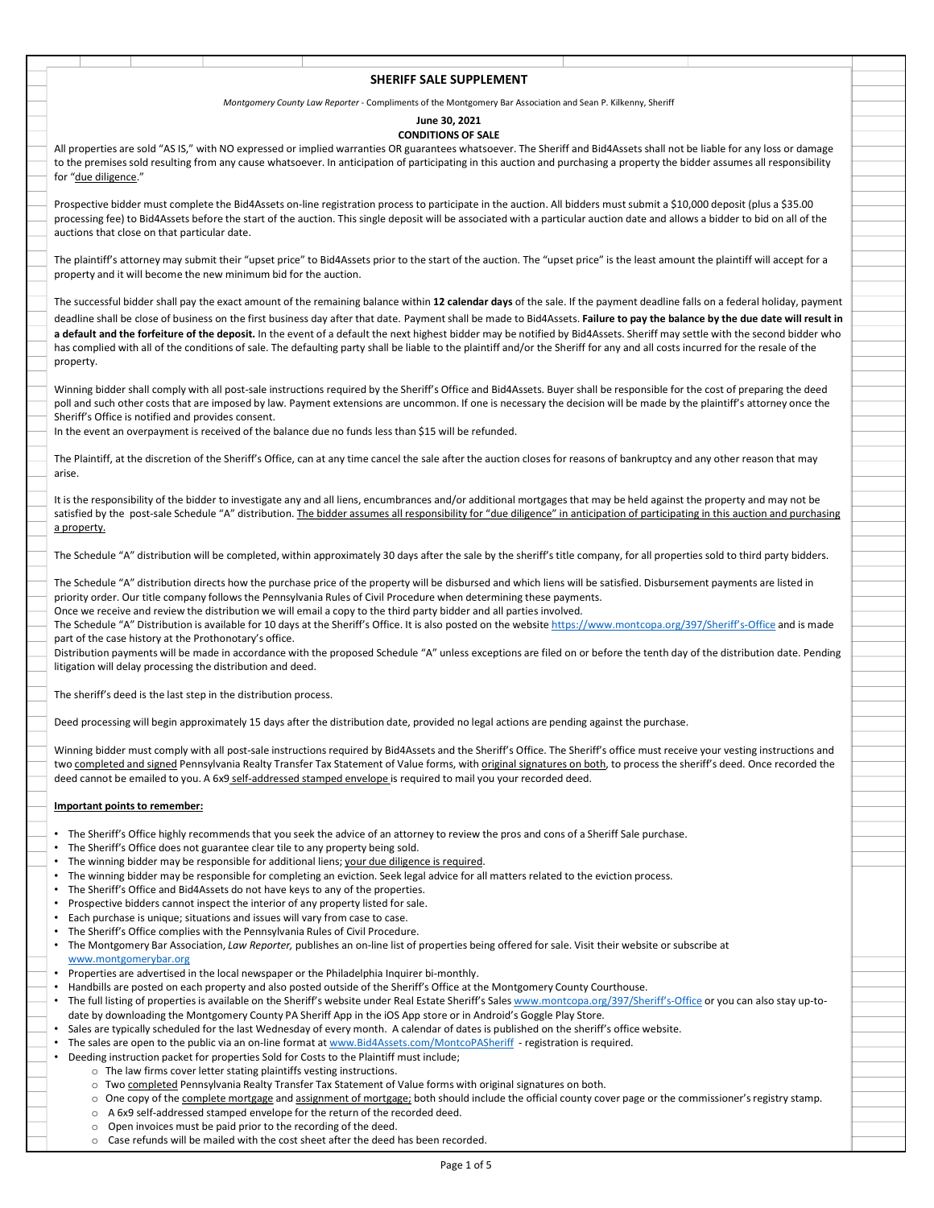## SHERIFF SALE SUPPLEMENT

Montgomery County Law Reporter - Compliments of the Montgomery Bar Association and Sean P. Kilkenny, Sheriff

## June 30, 2021

CONDITIONS OF SALE<br>All properties are sold "AS IS," with NO expressed or implied warranties OR guarantees whatsoever. The Sheriff and Bid4Assets shall not be liable for any loss or damage **SHERIFF SALE SUPPLEMENT**<br>All properties are sold "AS IS," with NO expressed or implied warranties OR guarantees whatsoever. The Sheriff and Bid4Assets shall not be liable for any loss or damage<br>to the premises sold result to the premises sold resulting from any cause whatsoever. In anticipation of participating in this auction and purchasing a property the bidder assumes all responsibility for "due diligence."

Prospective bidder must complete the Bid4Assets on-line registration process to participate in the auction. All bidders must submit a \$10,000 deposit (plus a \$35.00 processing fee) to Bid4Assets before the start of the auction. This single deposit will be associated with a particular auction date and allows a bidder to bid on all of the auctions that close on that particular date.

property and it will become the new minimum bid for the auction.

SHERIFF SALE SUPPLEMENT<br>
Montgomery County law Report-Complisions to the Montgomery and Association and Sean P. Kilkenny, Sherift<br>
All properties are sold "AS IS," with NO expressed or implied warranties OR guarantees what SHERIFF SALE SUPPLEMENT<br>
Migroperties are sold "AS 5," with NO expressed or implied warranties OR guarantees what<br>successful dealers amount of the remaining balance of the successful balance of the successful paying the pa Mentagemeny County Low Reporter - Complifiers SALE SUPPLEMENT<br>All properties are solel "AS (s," with NO expressed or implied warranties Of governing to Made Complishers and Search and Search and The Made Complishers and th a default and the forfeiture of the deposit. In the event of a default the next highest bidder may be notified by Bid4Assets. Sheriff may settle with the second bidder who<br>has complied with all of the conditions of sale. T **has complete with all of the conditions of the conditions of the conditions of the conditions of the conditions of the conditions of the conditions of the conditions of the conditions of sale. The Sheriff and Biol Assets** property. All properties are note 2615," with NO expressed or implied warrantics COMDITOMS OF SALE.<br>Its "discretises not errowline from any cluste whenever, in antisparent organizations and all lied any and particular formulations f for "<u>dardingsto</u>"<br>Froncestoe bidden must consider the Biddens colline methods propose to participate in the auction. All bidden must shared with a bidden to do another the sale of the decembent of the sale of the sale of

Winning bidder shall comply with all post-sale instructions required by the Sheriff's Office and Bid4Assets. Buyer shall be responsible for the cost of preparing the deed poll and such other costs that are imposed by law. Payment extensions are uncommon. If one is necessary the decision will be made by the plaintiff's attorney once the Sheriff's Office is notified and provides consent. ervator<br>When the state shall comply with all post-sale instructions required by the Sheriff's Office and Bid4Assets Buyer shall be reasonable for the conserved instant of the complete and such conference instead.<br>Due to sa Whence bides rail on only we their distribution or equired by the Sheriff Office, the and Bolivasch is represented that the response of the complete the complete the complete the complete the complete the complete the comp

In the event an overpayment is received of the balance due no funds less than \$15 will be refunded.

The Plaintiff, at the discretion of the Sheriff's Office, can at any time cancel the sale after the auction closes for reasons of bankruptcy and any other reason that may arise.

satisfied by the post-sale Schedule "A" distribution. The bidder assumes all responsibility for "due diligence" in anticipation of participating in this auction and purchasing a property. politics of other coast that are imposed by low. Payment extensions are uncommon. If one is necessary the decision will be made by the plainting unched unched stamps are the material of the blance of the blance due no fund

The Schedule "A" distribution directs how the purchase price of the property will be disbursed and which liens will be satisfied. Disbursement payments are listed in priority order. Our title company follows the Pennsylvania Rules of Civil Procedure when determining these payments.

Once we receive and review the distribution we will email a copy to the third party bidder and all parties involved.

The Schedule "A" Distribution is available for 10 days at the Sheriff's Office. It is also posted on the website https://www.montcopa.org/397/Sheriff's-Office and is made part of the case history at the Prothonotary's office.

Distribution payments will be made in accordance with the proposed Schedule "A" unless exceptions are filed on or before the tenth day of the distribution date. Pending litigation will delay processing the distribution and deed.

The sheriff's deed is the last step in the distribution process.

Deed processing will begin approximately 15 days after the distribution date, provided no legal actions are pending against the purchase.

Integritor will only an oceasing the distinuition and deed.<br>The absorption is taken by the distinuition process.<br>The distinction of the distinuition of the distinuition of the provided noise and the Shariff's office ment c

## Important points to remember:

- The Sheriff's Office highly recommends that you seek the advice of an attorney to review the pros and cons of a Sheriff Sale purchase.
- The Sheriff's Office does not guarantee clear tile to any property being sold.
- The winning bidder may be responsible for additional liens; your due diligence is required.
- The winning bidder may be responsible for completing an eviction. Seek legal advice for all matters related to the eviction process.
- The Sheriff's Office and Bid4Assets do not have keys to any of the properties.
- Prospective bidders cannot inspect the interior of any property listed for sale.
- Each purchase is unique; situations and issues will vary from case to case.
- The Sheriff's Office complies with the Pennsylvania Rules of Civil Procedure.
- The Montgomery Bar Association, Law Reporter, publishes an on-line list of properties being offered for sale. Visit their website or subscribe at www.montgomerybar.org
- Properties are advertised in the local newspaper or the Philadelphia Inquirer bi-monthly.
- Handbills are posted on each property and also posted outside of the Sheriff's Office at the Montgomery County Courthouse.
- The full listing of properties is available on the Sheriff's website under Real Estate Sheriff's Sales www.montcopa.org/397/Sheriff's-Office or you can also stay up-to-
- date by downloading the Montgomery County PA Sheriff App in the iOS App store or in Android's Goggle Play Store.
- Sales are typically scheduled for the last Wednesday of every month. A calendar of dates is published on the sheriff's office website.
- - -
		- -
			-
		-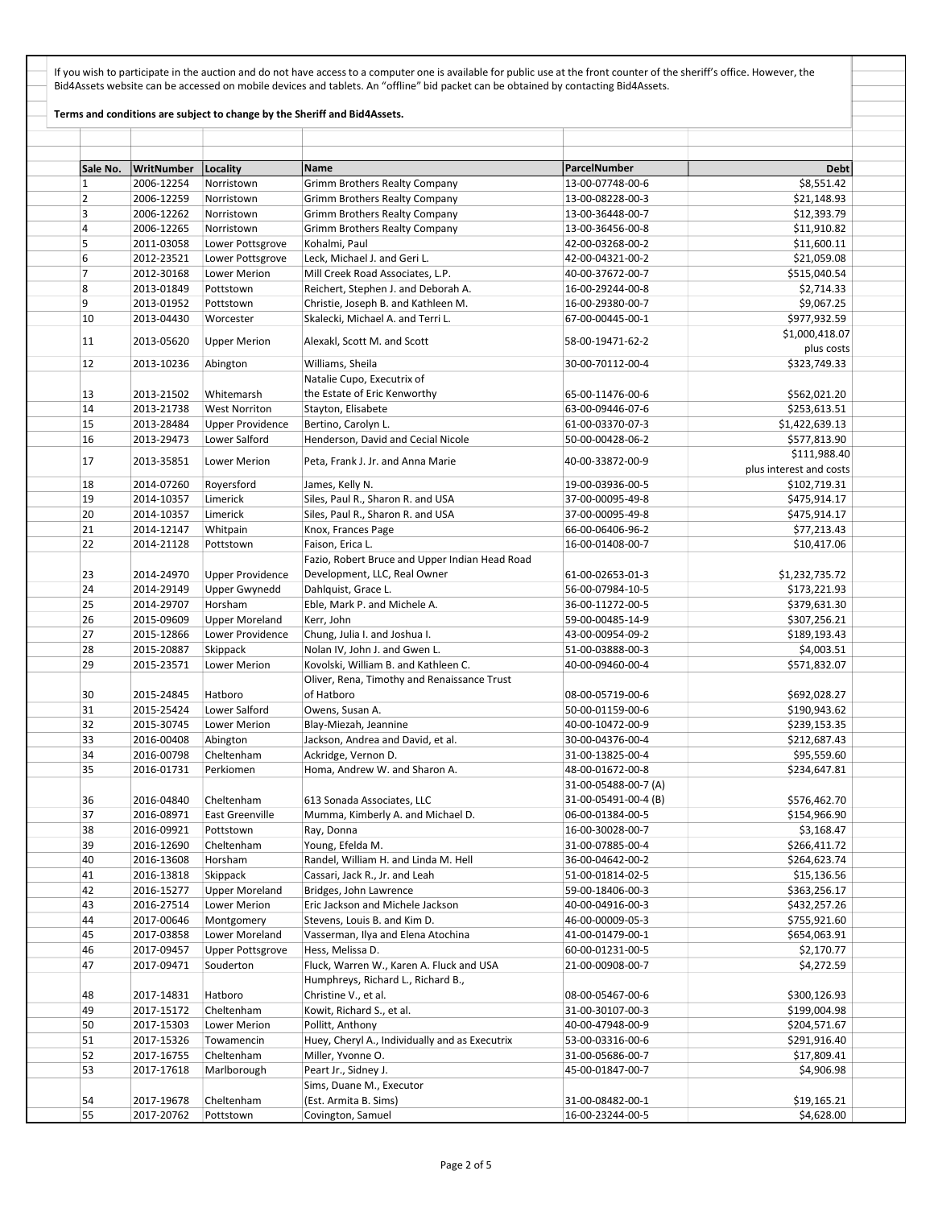If you wish to participate in the auction and do not have access to a computer one is available for public use at the front counter of the sheriff's office. However, the Bid4Assets website can be accessed on mobile devices and tablets. An "offline" bid packet can be obtained by contacting Bid4Assets.

## Terms and conditions are subject to change by the Sheriff and Bid4Assets.

| Sale No.       | WritNumber | Locality                | Name                                           | ParcelNumber         | <b>Debt</b>                  |
|----------------|------------|-------------------------|------------------------------------------------|----------------------|------------------------------|
| $\mathbf{1}$   | 2006-12254 | Norristown              | <b>Grimm Brothers Realty Company</b>           | 13-00-07748-00-6     | \$8,551.42                   |
| $\overline{2}$ | 2006-12259 | Norristown              | <b>Grimm Brothers Realty Company</b>           | 13-00-08228-00-3     | \$21,148.93                  |
| 3              | 2006-12262 | Norristown              | <b>Grimm Brothers Realty Company</b>           | 13-00-36448-00-7     | \$12,393.79                  |
| 4              | 2006-12265 | Norristown              | <b>Grimm Brothers Realty Company</b>           | 13-00-36456-00-8     | \$11,910.82                  |
| 5              | 2011-03058 | Lower Pottsgrove        | Kohalmi, Paul                                  | 42-00-03268-00-2     | \$11,600.11                  |
| 6              | 2012-23521 | Lower Pottsgrove        | Leck, Michael J. and Geri L.                   | 42-00-04321-00-2     | \$21,059.08                  |
| $\overline{7}$ | 2012-30168 | Lower Merion            | Mill Creek Road Associates, L.P.               | 40-00-37672-00-7     | \$515,040.54                 |
| 8              | 2013-01849 | Pottstown               | Reichert, Stephen J. and Deborah A.            | 16-00-29244-00-8     | \$2,714.33                   |
| 9              | 2013-01952 | Pottstown               | Christie, Joseph B. and Kathleen M.            | 16-00-29380-00-7     | \$9,067.25                   |
| 10             | 2013-04430 | Worcester               | Skalecki, Michael A. and Terri L.              | 67-00-00445-00-1     | \$977,932.59                 |
| 11             | 2013-05620 | <b>Upper Merion</b>     | Alexakl, Scott M. and Scott                    | 58-00-19471-62-2     | \$1,000,418.07<br>plus costs |
| 12             | 2013-10236 | Abington                | Williams, Sheila                               | 30-00-70112-00-4     | \$323,749.33                 |
|                |            |                         | Natalie Cupo, Executrix of                     |                      |                              |
| 13             | 2013-21502 | Whitemarsh              | the Estate of Eric Kenworthy                   | 65-00-11476-00-6     | \$562,021.20                 |
| 14             | 2013-21738 | <b>West Norriton</b>    | Stayton, Elisabete                             | 63-00-09446-07-6     | \$253,613.51                 |
| 15             | 2013-28484 | <b>Upper Providence</b> | Bertino, Carolyn L.                            | 61-00-03370-07-3     | \$1,422,639.13               |
| 16             | 2013-29473 | Lower Salford           | Henderson, David and Cecial Nicole             | 50-00-00428-06-2     | \$577,813.90                 |
|                |            |                         |                                                |                      | \$111,988.40                 |
| 17             | 2013-35851 | Lower Merion            | Peta, Frank J. Jr. and Anna Marie              | 40-00-33872-00-9     | plus interest and costs      |
| 18             | 2014-07260 | Royersford              | James, Kelly N.                                | 19-00-03936-00-5     | \$102,719.31                 |
| 19             | 2014-10357 | Limerick                | Siles, Paul R., Sharon R. and USA              | 37-00-00095-49-8     | \$475,914.17                 |
| 20             | 2014-10357 | Limerick                | Siles, Paul R., Sharon R. and USA              | 37-00-00095-49-8     | \$475,914.17                 |
| 21             | 2014-12147 | Whitpain                | Knox, Frances Page                             | 66-00-06406-96-2     | \$77,213.43                  |
| 22             | 2014-21128 | Pottstown               | Faison, Erica L.                               | 16-00-01408-00-7     | \$10,417.06                  |
|                |            |                         | Fazio, Robert Bruce and Upper Indian Head Road |                      |                              |
|                | 2014-24970 |                         |                                                |                      |                              |
| 23             |            | <b>Upper Providence</b> | Development, LLC, Real Owner                   | 61-00-02653-01-3     | \$1,232,735.72               |
| 24             | 2014-29149 | Upper Gwynedd           | Dahlquist, Grace L.                            | 56-00-07984-10-5     | \$173,221.93                 |
| 25             | 2014-29707 | Horsham                 | Eble, Mark P. and Michele A.                   | 36-00-11272-00-5     | \$379,631.30                 |
| 26             | 2015-09609 | <b>Upper Moreland</b>   | Kerr, John                                     | 59-00-00485-14-9     | \$307,256.21                 |
| 27             | 2015-12866 | Lower Providence        | Chung, Julia I. and Joshua I.                  | 43-00-00954-09-2     | \$189,193.43                 |
| 28             | 2015-20887 | Skippack                | Nolan IV, John J. and Gwen L.                  | 51-00-03888-00-3     | \$4,003.51                   |
| 29             | 2015-23571 | Lower Merion            | Kovolski, William B. and Kathleen C.           | 40-00-09460-00-4     | \$571,832.07                 |
|                |            |                         | Oliver, Rena, Timothy and Renaissance Trust    |                      |                              |
| 30             | 2015-24845 | Hatboro                 | of Hatboro                                     | 08-00-05719-00-6     | \$692,028.27                 |
| 31             | 2015-25424 | Lower Salford           | Owens, Susan A.                                | 50-00-01159-00-6     | \$190,943.62                 |
| 32             | 2015-30745 | Lower Merion            | Blay-Miezah, Jeannine                          | 40-00-10472-00-9     | \$239,153.35                 |
| 33             | 2016-00408 | Abington                | Jackson, Andrea and David, et al.              | 30-00-04376-00-4     | \$212,687.43                 |
| 34             | 2016-00798 | Cheltenham              | Ackridge, Vernon D.                            | 31-00-13825-00-4     | \$95,559.60                  |
| 35             | 2016-01731 | Perkiomen               | Homa, Andrew W. and Sharon A.                  | 48-00-01672-00-8     | \$234,647.81                 |
|                |            |                         |                                                | 31-00-05488-00-7 (A) |                              |
| 36             | 2016-04840 | Cheltenham              | 613 Sonada Associates, LLC                     | 31-00-05491-00-4 (B) | \$576,462.70                 |
| 37             | 2016-08971 | East Greenville         | Mumma, Kimberly A. and Michael D.              | 06-00-01384-00-5     | \$154,966.90                 |
| 38             | 2016-09921 | Pottstown               | Ray, Donna                                     | 16-00-30028-00-7     | \$3,168.47                   |
| 39             | 2016-12690 | Cheltenham              | Young, Efelda M.                               | 31-00-07885-00-4     | \$266,411.72                 |
| 40             | 2016-13608 | Horsham                 | Randel, William H. and Linda M. Hell           | 36-00-04642-00-2     | \$264,623.74                 |
| 41             | 2016-13818 | Skippack                | Cassari, Jack R., Jr. and Leah                 | 51-00-01814-02-5     | \$15,136.56                  |
| 42             | 2016-15277 | <b>Upper Moreland</b>   | Bridges, John Lawrence                         | 59-00-18406-00-3     | \$363,256.17                 |
| 43             | 2016-27514 | Lower Merion            | Eric Jackson and Michele Jackson               | 40-00-04916-00-3     | \$432,257.26                 |
| 44             | 2017-00646 | Montgomery              | Stevens, Louis B. and Kim D.                   | 46-00-00009-05-3     | \$755,921.60                 |
| 45             | 2017-03858 | Lower Moreland          | Vasserman, Ilya and Elena Atochina             | 41-00-01479-00-1     | \$654,063.91                 |
| 46             | 2017-09457 | <b>Upper Pottsgrove</b> | Hess, Melissa D.                               | 60-00-01231-00-5     | \$2,170.77                   |
| 47             | 2017-09471 | Souderton               | Fluck, Warren W., Karen A. Fluck and USA       | 21-00-00908-00-7     | \$4,272.59                   |
|                |            |                         | Humphreys, Richard L., Richard B.,             |                      |                              |
| 48             | 2017-14831 | Hatboro                 | Christine V., et al.                           | 08-00-05467-00-6     | \$300,126.93                 |
| 49             | 2017-15172 | Cheltenham              | Kowit, Richard S., et al.                      | 31-00-30107-00-3     | \$199,004.98                 |
| 50             | 2017-15303 | Lower Merion            | Pollitt, Anthony                               | 40-00-47948-00-9     | \$204,571.67                 |
| 51             | 2017-15326 | Towamencin              | Huey, Cheryl A., Individually and as Executrix | 53-00-03316-00-6     | \$291,916.40                 |
| 52             | 2017-16755 | Cheltenham              | Miller, Yvonne O.                              | 31-00-05686-00-7     | \$17,809.41                  |
| 53             | 2017-17618 | Marlborough             | Peart Jr., Sidney J.                           | 45-00-01847-00-7     | \$4,906.98                   |
|                |            |                         | Sims, Duane M., Executor                       |                      |                              |
| 54             | 2017-19678 | Cheltenham              | (Est. Armita B. Sims)                          | 31-00-08482-00-1     | \$19,165.21                  |
| 55             | 2017-20762 | Pottstown               | Covington, Samuel                              | 16-00-23244-00-5     | \$4,628.00                   |
|                |            |                         |                                                |                      |                              |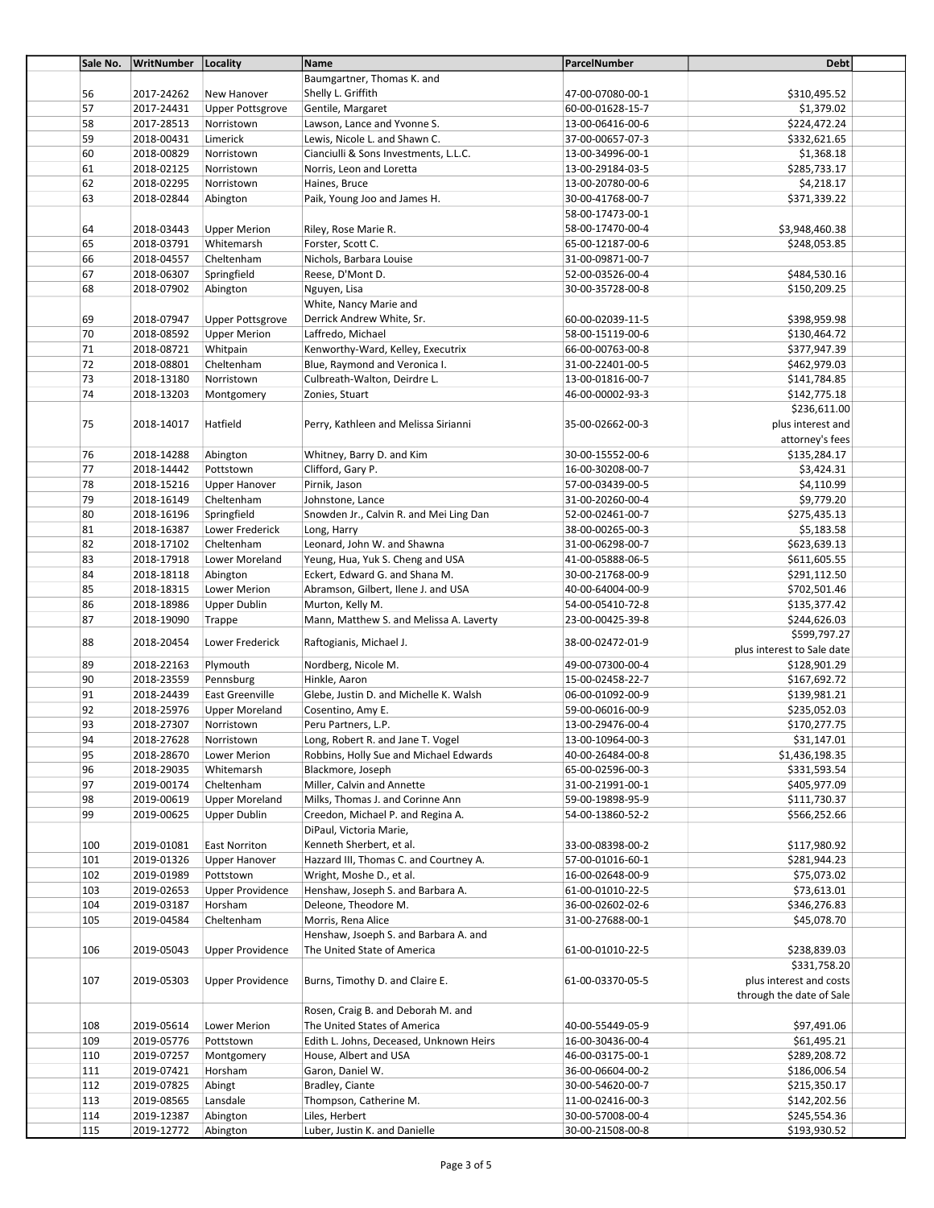| Sale No. | WritNumber Locality |                         | Name                                    | ParcelNumber     | <b>Debt</b>                |
|----------|---------------------|-------------------------|-----------------------------------------|------------------|----------------------------|
|          |                     |                         | Baumgartner, Thomas K. and              |                  |                            |
| 56       | 2017-24262          | New Hanover             | Shelly L. Griffith                      | 47-00-07080-00-1 | \$310,495.52               |
| 57       | 2017-24431          | <b>Upper Pottsgrove</b> | Gentile, Margaret                       | 60-00-01628-15-7 | \$1,379.02                 |
| 58       | 2017-28513          | Norristown              | Lawson, Lance and Yvonne S.             | 13-00-06416-00-6 | \$224,472.24               |
| 59       | 2018-00431          | Limerick                | Lewis, Nicole L. and Shawn C.           | 37-00-00657-07-3 | \$332,621.65               |
| 60       | 2018-00829          | Norristown              | Cianciulli & Sons Investments, L.L.C.   | 13-00-34996-00-1 | \$1,368.18                 |
|          |                     |                         |                                         |                  |                            |
| 61       | 2018-02125          | Norristown              | Norris, Leon and Loretta                | 13-00-29184-03-5 | \$285,733.17               |
| 62       | 2018-02295          | Norristown              | Haines, Bruce                           | 13-00-20780-00-6 | \$4,218.17                 |
| 63       | 2018-02844          | Abington                | Paik, Young Joo and James H.            | 30-00-41768-00-7 | \$371,339.22               |
|          |                     |                         |                                         | 58-00-17473-00-1 |                            |
| 64       | 2018-03443          | <b>Upper Merion</b>     | Riley, Rose Marie R.                    | 58-00-17470-00-4 | \$3,948,460.38             |
| 65       | 2018-03791          | Whitemarsh              | Forster, Scott C.                       | 65-00-12187-00-6 | \$248,053.85               |
| 66       | 2018-04557          | Cheltenham              | Nichols, Barbara Louise                 | 31-00-09871-00-7 |                            |
| 67       | 2018-06307          | Springfield             | Reese, D'Mont D.                        | 52-00-03526-00-4 | \$484,530.16               |
| 68       | 2018-07902          | Abington                | Nguyen, Lisa                            | 30-00-35728-00-8 | \$150,209.25               |
|          |                     |                         | White, Nancy Marie and                  |                  |                            |
|          |                     |                         |                                         |                  |                            |
| 69       | 2018-07947          | <b>Upper Pottsgrove</b> | Derrick Andrew White, Sr.               | 60-00-02039-11-5 | \$398,959.98               |
| 70       | 2018-08592          | <b>Upper Merion</b>     | Laffredo, Michael                       | 58-00-15119-00-6 | \$130,464.72               |
| 71       | 2018-08721          | Whitpain                | Kenworthy-Ward, Kelley, Executrix       | 66-00-00763-00-8 | \$377,947.39               |
| 72       | 2018-08801          | Cheltenham              | Blue, Raymond and Veronica I.           | 31-00-22401-00-5 | \$462,979.03               |
| 73       | 2018-13180          | Norristown              | Culbreath-Walton, Deirdre L.            | 13-00-01816-00-7 | \$141,784.85               |
| 74       | 2018-13203          | Montgomery              | Zonies, Stuart                          | 46-00-00002-93-3 | \$142,775.18               |
|          |                     |                         |                                         |                  | \$236,611.00               |
| 75       | 2018-14017          | Hatfield                | Perry, Kathleen and Melissa Sirianni    | 35-00-02662-00-3 | plus interest and          |
|          |                     |                         |                                         |                  |                            |
|          |                     |                         |                                         |                  | attorney's fees            |
| 76       | 2018-14288          | Abington                | Whitney, Barry D. and Kim               | 30-00-15552-00-6 | \$135,284.17               |
| 77       | 2018-14442          | Pottstown               | Clifford, Gary P.                       | 16-00-30208-00-7 | \$3,424.31                 |
| 78       | 2018-15216          | <b>Upper Hanover</b>    | Pirnik, Jason                           | 57-00-03439-00-5 | \$4,110.99                 |
| 79       | 2018-16149          | Cheltenham              | Johnstone, Lance                        | 31-00-20260-00-4 | \$9,779.20                 |
| 80       | 2018-16196          | Springfield             | Snowden Jr., Calvin R. and Mei Ling Dan | 52-00-02461-00-7 | \$275,435.13               |
| 81       | 2018-16387          | Lower Frederick         | Long, Harry                             | 38-00-00265-00-3 | \$5,183.58                 |
| 82       | 2018-17102          | Cheltenham              | Leonard, John W. and Shawna             | 31-00-06298-00-7 | \$623,639.13               |
|          |                     |                         |                                         |                  |                            |
| 83       | 2018-17918          | Lower Moreland          | Yeung, Hua, Yuk S. Cheng and USA        | 41-00-05888-06-5 | \$611,605.55               |
| 84       | 2018-18118          | Abington                | Eckert, Edward G. and Shana M.          | 30-00-21768-00-9 | \$291,112.50               |
| 85       | 2018-18315          | Lower Merion            | Abramson, Gilbert, Ilene J. and USA     | 40-00-64004-00-9 | \$702,501.46               |
| 86       | 2018-18986          | Upper Dublin            | Murton, Kelly M.                        | 54-00-05410-72-8 | \$135,377.42               |
| 87       | 2018-19090          | Trappe                  | Mann, Matthew S. and Melissa A. Laverty | 23-00-00425-39-8 | \$244,626.03               |
|          |                     |                         |                                         |                  | \$599,797.27               |
| 88       | 2018-20454          | Lower Frederick         | Raftogianis, Michael J.                 | 38-00-02472-01-9 | plus interest to Sale date |
| 89       | 2018-22163          | Plymouth                | Nordberg, Nicole M.                     | 49-00-07300-00-4 | \$128,901.29               |
| 90       | 2018-23559          | Pennsburg               | Hinkle, Aaron                           | 15-00-02458-22-7 | \$167,692.72               |
| 91       | 2018-24439          | East Greenville         | Glebe, Justin D. and Michelle K. Walsh  | 06-00-01092-00-9 | \$139,981.21               |
|          |                     |                         |                                         |                  |                            |
| 92       | 2018-25976          | <b>Upper Moreland</b>   | Cosentino, Amy E.                       | 59-00-06016-00-9 | \$235,052.03               |
| 93       | 2018-27307          | Norristown              | Peru Partners, L.P.                     | 13-00-29476-00-4 | \$170,277.75               |
| 94       | 2018-27628          | Norristown              | Long, Robert R. and Jane T. Vogel       | 13-00-10964-00-3 | \$31,147.01                |
| 95       | 2018-28670          | Lower Merion            | Robbins, Holly Sue and Michael Edwards  | 40-00-26484-00-8 | \$1,436,198.35             |
| 96       | 2018-29035          | Whitemarsh              | Blackmore, Joseph                       | 65-00-02596-00-3 | \$331,593.54               |
| 97       | 2019-00174          | Cheltenham              | Miller, Calvin and Annette              | 31-00-21991-00-1 | \$405,977.09               |
| 98       | 2019-00619          | <b>Upper Moreland</b>   | Milks, Thomas J. and Corinne Ann        | 59-00-19898-95-9 | \$111,730.37               |
| 99       | 2019-00625          | <b>Upper Dublin</b>     | Creedon, Michael P. and Regina A.       | 54-00-13860-52-2 | \$566,252.66               |
|          |                     |                         | DiPaul, Victoria Marie,                 |                  |                            |
|          |                     |                         |                                         |                  |                            |
| 100      | 2019-01081          | East Norriton           | Kenneth Sherbert, et al.                | 33-00-08398-00-2 | \$117,980.92               |
| 101      | 2019-01326          | <b>Upper Hanover</b>    | Hazzard III, Thomas C. and Courtney A.  | 57-00-01016-60-1 | \$281,944.23               |
| 102      | 2019-01989          | Pottstown               | Wright, Moshe D., et al.                | 16-00-02648-00-9 | \$75,073.02                |
| 103      | 2019-02653          | <b>Upper Providence</b> | Henshaw, Joseph S. and Barbara A.       | 61-00-01010-22-5 | \$73,613.01                |
| 104      | 2019-03187          | Horsham                 | Deleone, Theodore M.                    | 36-00-02602-02-6 | \$346,276.83               |
| 105      | 2019-04584          | Cheltenham              | Morris, Rena Alice                      | 31-00-27688-00-1 | \$45,078.70                |
|          |                     |                         | Henshaw, Jsoeph S. and Barbara A. and   |                  |                            |
| 106      | 2019-05043          | <b>Upper Providence</b> | The United State of America             | 61-00-01010-22-5 | \$238,839.03               |
|          |                     |                         |                                         |                  |                            |
|          |                     |                         |                                         |                  | \$331,758.20               |
| 107      | 2019-05303          | <b>Upper Providence</b> | Burns, Timothy D. and Claire E.         | 61-00-03370-05-5 | plus interest and costs    |
|          |                     |                         |                                         |                  | through the date of Sale   |
|          |                     |                         | Rosen, Craig B. and Deborah M. and      |                  |                            |
| 108      | 2019-05614          | Lower Merion            | The United States of America            | 40-00-55449-05-9 | \$97,491.06                |
| 109      | 2019-05776          | Pottstown               | Edith L. Johns, Deceased, Unknown Heirs | 16-00-30436-00-4 | \$61,495.21                |
| 110      | 2019-07257          | Montgomery              | House, Albert and USA                   | 46-00-03175-00-1 | \$289,208.72               |
| 111      | 2019-07421          | Horsham                 | Garon, Daniel W.                        | 36-00-06604-00-2 | \$186,006.54               |
|          |                     |                         |                                         |                  |                            |
| 112      | 2019-07825          | Abingt                  | Bradley, Ciante                         | 30-00-54620-00-7 | \$215,350.17               |
| 113      | 2019-08565          | Lansdale                | Thompson, Catherine M.                  | 11-00-02416-00-3 | \$142,202.56               |
| 114      | 2019-12387          | Abington                | Liles, Herbert                          | 30-00-57008-00-4 | \$245,554.36               |
| 115      | 2019-12772          | Abington                | Luber, Justin K. and Danielle           | 30-00-21508-00-8 | \$193,930.52               |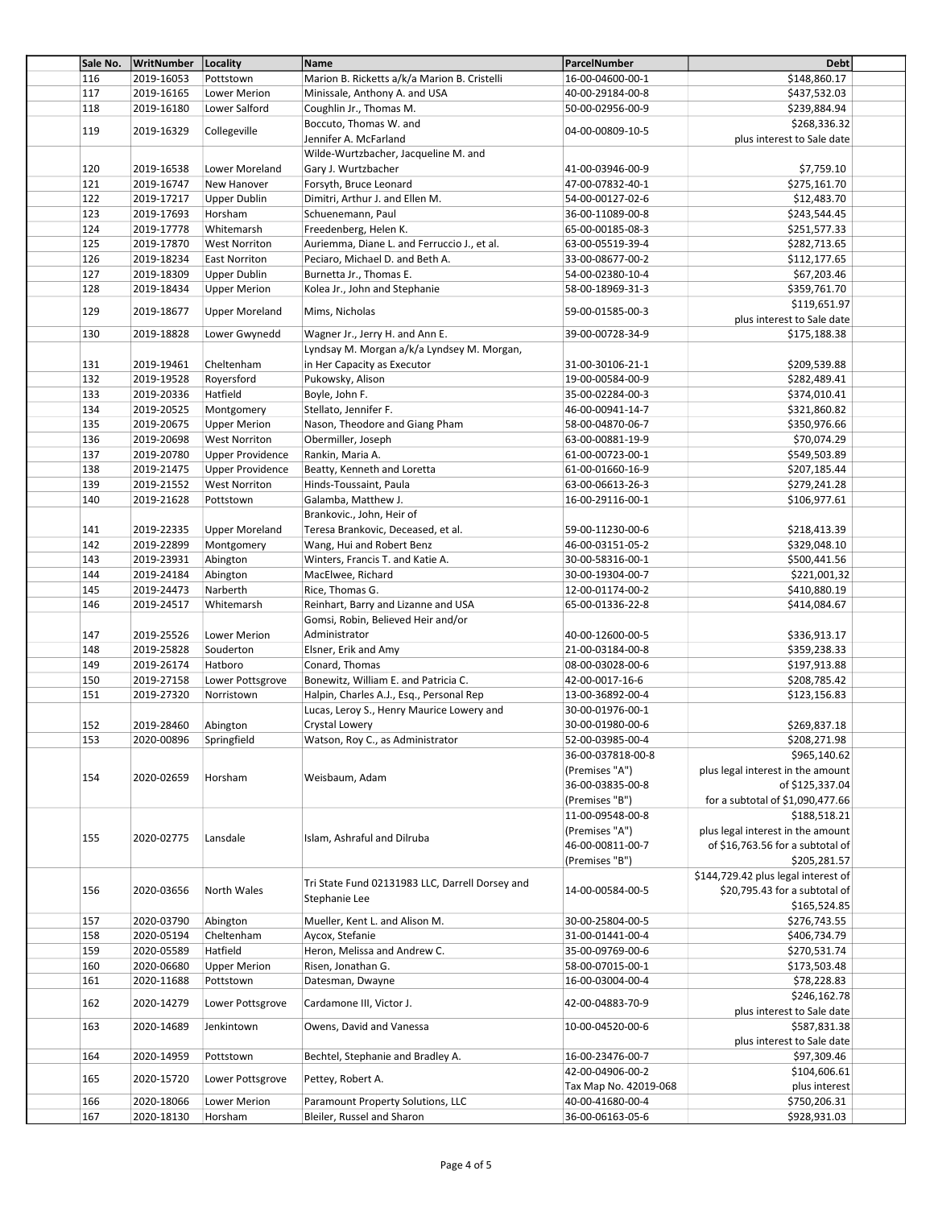| Sale No. | WritNumber   Locality  |                         | Name                                            | ParcelNumber          | Debt                                       |  |
|----------|------------------------|-------------------------|-------------------------------------------------|-----------------------|--------------------------------------------|--|
| 116      | 2019-16053             | Pottstown               | Marion B. Ricketts a/k/a Marion B. Cristelli    | 16-00-04600-00-1      | \$148,860.17                               |  |
| 117      | 2019-16165             | Lower Merion            | Minissale, Anthony A. and USA                   | 40-00-29184-00-8      | \$437,532.03                               |  |
| 118      | 2019-16180             | Lower Salford           | Coughlin Jr., Thomas M.                         | 50-00-02956-00-9      | \$239,884.94                               |  |
|          |                        |                         | Boccuto, Thomas W. and                          |                       | \$268,336.32                               |  |
| 119      | 2019-16329             | Collegeville            | Jennifer A. McFarland                           | 04-00-00809-10-5      | plus interest to Sale date                 |  |
|          |                        |                         | Wilde-Wurtzbacher, Jacqueline M. and            |                       |                                            |  |
| 120      | 2019-16538             | Lower Moreland          | Gary J. Wurtzbacher                             | 41-00-03946-00-9      | \$7,759.10                                 |  |
|          |                        | New Hanover             |                                                 | 47-00-07832-40-1      |                                            |  |
| 121      | 2019-16747             |                         | Forsyth, Bruce Leonard                          |                       | \$275,161.70                               |  |
| 122      | 2019-17217             | <b>Upper Dublin</b>     | Dimitri, Arthur J. and Ellen M.                 | 54-00-00127-02-6      | \$12,483.70                                |  |
| 123      | 2019-17693             | Horsham                 | Schuenemann, Paul                               | 36-00-11089-00-8      | \$243,544.45                               |  |
| 124      | 2019-17778             | Whitemarsh              | Freedenberg, Helen K.                           | 65-00-00185-08-3      | \$251,577.33                               |  |
| 125      | 2019-17870             | <b>West Norriton</b>    | Auriemma, Diane L. and Ferruccio J., et al.     | 63-00-05519-39-4      | \$282,713.65                               |  |
| 126      | 2019-18234             | <b>East Norriton</b>    | Peciaro, Michael D. and Beth A.                 | 33-00-08677-00-2      | \$112,177.65                               |  |
| 127      | 2019-18309             | <b>Upper Dublin</b>     | Burnetta Jr., Thomas E.                         | 54-00-02380-10-4      | \$67,203.46                                |  |
| 128      | 2019-18434             | <b>Upper Merion</b>     | Kolea Jr., John and Stephanie                   | 58-00-18969-31-3      | \$359,761.70                               |  |
| 129      | 2019-18677             | <b>Upper Moreland</b>   | Mims, Nicholas                                  | 59-00-01585-00-3      | \$119,651.97                               |  |
|          |                        |                         |                                                 |                       | plus interest to Sale date                 |  |
| 130      | 2019-18828             | Lower Gwynedd           | Wagner Jr., Jerry H. and Ann E.                 | 39-00-00728-34-9      | \$175,188.38                               |  |
|          |                        |                         | Lyndsay M. Morgan a/k/a Lyndsey M. Morgan,      |                       |                                            |  |
| 131      | 2019-19461             | Cheltenham              | in Her Capacity as Executor                     | 31-00-30106-21-1      | \$209,539.88                               |  |
| 132      | 2019-19528             | Royersford              | Pukowsky, Alison                                | 19-00-00584-00-9      | \$282,489.41                               |  |
| 133      | 2019-20336             | Hatfield                | Boyle, John F.                                  | 35-00-02284-00-3      | \$374,010.41                               |  |
| 134      | 2019-20525             | Montgomery              | Stellato, Jennifer F.                           | 46-00-00941-14-7      | \$321,860.82                               |  |
| 135      | 2019-20675             | <b>Upper Merion</b>     | Nason, Theodore and Giang Pham                  | 58-00-04870-06-7      | \$350,976.66                               |  |
| 136      | 2019-20698             | <b>West Norriton</b>    | Obermiller, Joseph                              | 63-00-00881-19-9      | \$70,074.29                                |  |
| 137      |                        |                         |                                                 |                       | \$549,503.89                               |  |
|          | 2019-20780             | <b>Upper Providence</b> | Rankin, Maria A.                                | 61-00-00723-00-1      |                                            |  |
| 138      | 2019-21475             | <b>Upper Providence</b> | Beatty, Kenneth and Loretta                     | 61-00-01660-16-9      | \$207,185.44                               |  |
| 139      | 2019-21552             | <b>West Norriton</b>    | Hinds-Toussaint, Paula                          | 63-00-06613-26-3      | \$279,241.28                               |  |
| 140      | 2019-21628             | Pottstown               | Galamba, Matthew J.                             | 16-00-29116-00-1      | \$106,977.61                               |  |
|          |                        |                         | Brankovic., John, Heir of                       |                       |                                            |  |
| 141      | 2019-22335             | <b>Upper Moreland</b>   | Teresa Brankovic, Deceased, et al.              | 59-00-11230-00-6      | \$218,413.39                               |  |
| 142      | 2019-22899             | Montgomery              | Wang, Hui and Robert Benz                       | 46-00-03151-05-2      | \$329,048.10                               |  |
| 143      | 2019-23931             | Abington                | Winters, Francis T. and Katie A.                | 30-00-58316-00-1      | \$500,441.56                               |  |
| 144      | 2019-24184             | Abington                | MacElwee, Richard                               | 30-00-19304-00-7      | \$221,001,32                               |  |
| 145      | 2019-24473             | Narberth                | Rice, Thomas G.                                 | 12-00-01174-00-2      | \$410,880.19                               |  |
| 146      | 2019-24517             | Whitemarsh              | Reinhart, Barry and Lizanne and USA             | 65-00-01336-22-8      | \$414,084.67                               |  |
|          |                        |                         | Gomsi, Robin, Believed Heir and/or              |                       |                                            |  |
| 147      | 2019-25526             | Lower Merion            | Administrator                                   | 40-00-12600-00-5      | \$336,913.17                               |  |
| 148      | 2019-25828             | Souderton               | Elsner, Erik and Amy                            | 21-00-03184-00-8      | \$359,238.33                               |  |
| 149      | 2019-26174             | Hatboro                 | Conard, Thomas                                  | 08-00-03028-00-6      | \$197,913.88                               |  |
| 150      | 2019-27158             | Lower Pottsgrove        | Bonewitz, William E. and Patricia C.            | 42-00-0017-16-6       | \$208,785.42                               |  |
|          |                        |                         | Halpin, Charles A.J., Esq., Personal Rep        | 13-00-36892-00-4      |                                            |  |
| 151      | 2019-27320             | Norristown              |                                                 |                       | \$123,156.83                               |  |
|          |                        |                         | Lucas, Leroy S., Henry Maurice Lowery and       | 30-00-01976-00-1      |                                            |  |
| 152      | 2019-28460             | Abington                | Crystal Lowery                                  | 30-00-01980-00-6      | \$269,837.18                               |  |
| 153      | 2020-00896 Springfield |                         | Watson, Roy C., as Administrator                | 52-00-03985-00-4      | \$208,271.98                               |  |
|          |                        |                         |                                                 | 36-00-037818-00-8     | \$965,140.62                               |  |
| 154      | 2020-02659             | Horsham                 | Weisbaum, Adam                                  | (Premises "A")        | plus legal interest in the amount          |  |
|          |                        |                         |                                                 | 36-00-03835-00-8      | of \$125,337.04                            |  |
|          |                        |                         |                                                 | (Premises "B")        | for a subtotal of \$1,090,477.66           |  |
|          |                        |                         |                                                 | 11-00-09548-00-8      | \$188,518.21                               |  |
| 155      | 2020-02775             | Lansdale                | Islam, Ashraful and Dilruba                     | (Premises "A")        | plus legal interest in the amount          |  |
|          |                        |                         |                                                 | 46-00-00811-00-7      | of \$16,763.56 for a subtotal of           |  |
|          |                        |                         |                                                 | (Premises "B")        | \$205,281.57                               |  |
|          |                        |                         |                                                 |                       | \$144,729.42 plus legal interest of        |  |
| 156      | 2020-03656             | North Wales             | Tri State Fund 02131983 LLC, Darrell Dorsey and | 14-00-00584-00-5      | \$20,795.43 for a subtotal of              |  |
|          |                        |                         | Stephanie Lee                                   |                       | \$165,524.85                               |  |
| 157      | 2020-03790             | Abington                | Mueller, Kent L. and Alison M.                  | 30-00-25804-00-5      | \$276,743.55                               |  |
| 158      | 2020-05194             | Cheltenham              | Aycox, Stefanie                                 | 31-00-01441-00-4      | \$406,734.79                               |  |
| 159      | 2020-05589             | Hatfield                | Heron, Melissa and Andrew C.                    | 35-00-09769-00-6      | \$270,531.74                               |  |
| 160      | 2020-06680             | <b>Upper Merion</b>     | Risen, Jonathan G.                              | 58-00-07015-00-1      | \$173,503.48                               |  |
| 161      | 2020-11688             | Pottstown               | Datesman, Dwayne                                | 16-00-03004-00-4      | \$78,228.83                                |  |
|          |                        |                         |                                                 |                       |                                            |  |
| 162      | 2020-14279             | Lower Pottsgrove        | Cardamone III, Victor J.                        | 42-00-04883-70-9      | \$246,162.78<br>plus interest to Sale date |  |
|          |                        | Jenkintown              |                                                 |                       |                                            |  |
| 163      | 2020-14689             |                         | Owens, David and Vanessa                        | 10-00-04520-00-6      | \$587,831.38                               |  |
|          |                        |                         |                                                 |                       | plus interest to Sale date                 |  |
| 164      | 2020-14959             | Pottstown               | Bechtel, Stephanie and Bradley A.               | 16-00-23476-00-7      | \$97,309.46                                |  |
| 165      | 2020-15720             | Lower Pottsgrove        | Pettey, Robert A.                               | 42-00-04906-00-2      | \$104,606.61                               |  |
|          |                        |                         |                                                 | Tax Map No. 42019-068 | plus interest                              |  |
| 166      | 2020-18066             | Lower Merion            | Paramount Property Solutions, LLC               | 40-00-41680-00-4      | \$750,206.31                               |  |
| 167      | 2020-18130             | Horsham                 | Bleiler, Russel and Sharon                      | 36-00-06163-05-6      | \$928,931.03                               |  |